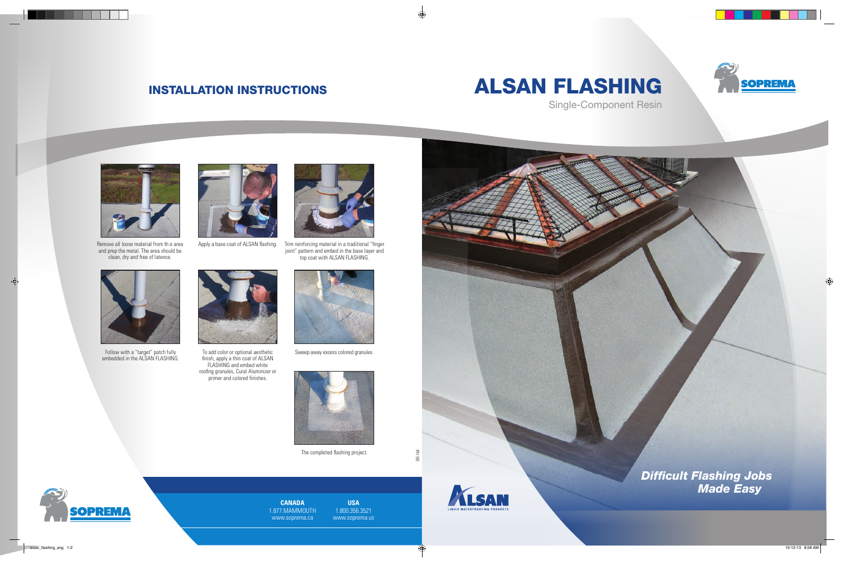# INSTALLATION INSTRUCTIONS ALSAN FLASHING







Remove all loose material from th e area and prep the metal. The area should be clean, dry and free of latence.



Follow with a "target" patch fully embedded in the ALSAN FLASHING.



Apply a base coat of ALSAN flashing.



To add color or optional aesthetic finish, apply a thin coat of ALSAN FLASHING and embed white roofing granules, Cural Aluminizer or primer and colored finishes.



Trim reinforcing material in a traditional "finger joint" pattern and embed in the base layer and top coat with ALSAN FLASHING.



Sweep away excess colored granules.



The completed flashing project.



*Difficult Flashing Jobs Made Easy*

**CANADA** 1.877.MAMMOUTH www.soprema.ca

**USA** 1.800.356.3521 www.soprema.us



BR-164